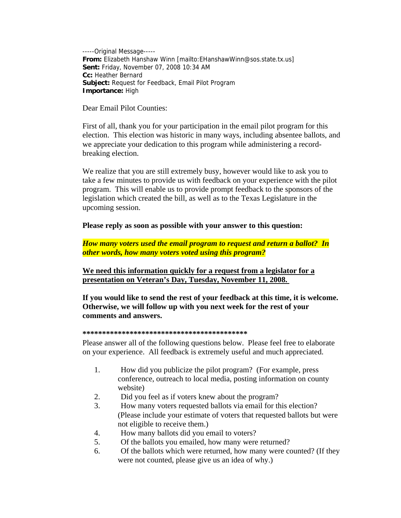-----Original Message----- **From:** Elizabeth Hanshaw Winn [mailto:EHanshawWinn@sos.state.tx.us] **Sent:** Friday, November 07, 2008 10:34 AM **Cc:** Heather Bernard **Subject:** Request for Feedback, Email Pilot Program **Importance:** High

Dear Email Pilot Counties:

First of all, thank you for your participation in the email pilot program for this election. This election was historic in many ways, including absentee ballots, and we appreciate your dedication to this program while administering a recordbreaking election.

We realize that you are still extremely busy, however would like to ask you to take a few minutes to provide us with feedback on your experience with the pilot program. This will enable us to provide prompt feedback to the sponsors of the legislation which created the bill, as well as to the Texas Legislature in the upcoming session.

## **Please reply as soon as possible with your answer to this question:**

*How many voters used the email program to request and return a ballot? In other words, how many voters voted using this program?* 

**We need this information quickly for a request from a legislator for a presentation on Veteran's Day, Tuesday, November 11, 2008.** 

**If you would like to send the rest of your feedback at this time, it is welcome. Otherwise, we will follow up with you next week for the rest of your comments and answers.** 

## **\*\*\*\*\*\*\*\*\*\*\*\*\*\*\*\*\*\*\*\*\*\*\*\*\*\*\*\*\*\*\*\*\*\*\*\*\*\*\*\*\*\***

Please answer all of the following questions below. Please feel free to elaborate on your experience. All feedback is extremely useful and much appreciated.

- 1. How did you publicize the pilot program? (For example, press conference, outreach to local media, posting information on county website)
- 2. Did you feel as if voters knew about the program?
- 3. How many voters requested ballots via email for this election? (Please include your estimate of voters that requested ballots but were not eligible to receive them.)
- 4. How many ballots did you email to voters?
- 5. Of the ballots you emailed, how many were returned?
- 6. Of the ballots which were returned, how many were counted? (If they were not counted, please give us an idea of why.)